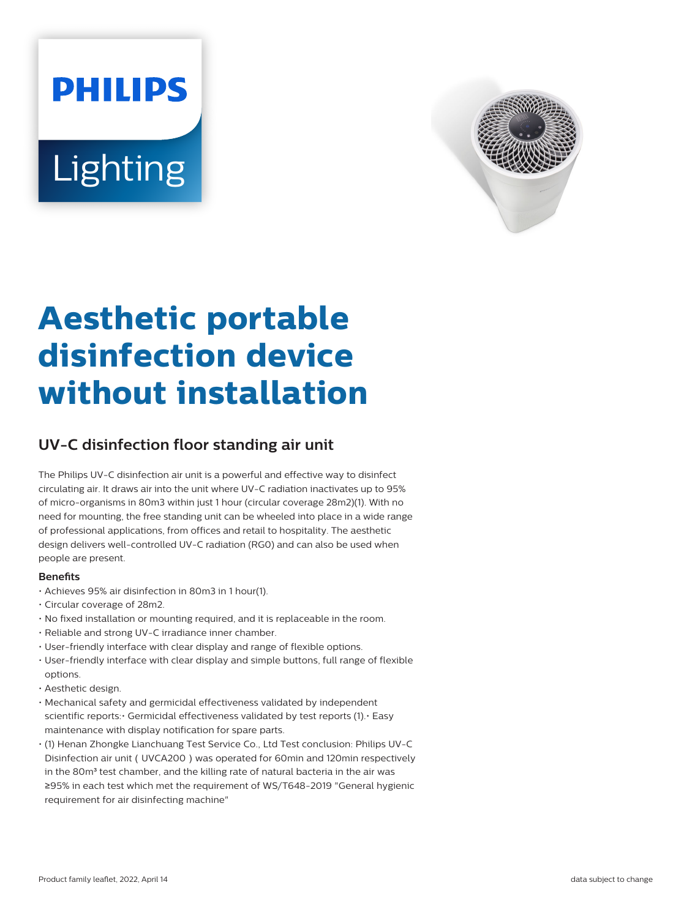# **PHILIPS** Lighting



## **Aesthetic portable disinfection device without installation**

### **UV-C disinfection floor standing air unit**

The Philips UV-C disinfection air unit is a powerful and effective way to disinfect circulating air. It draws air into the unit where UV-C radiation inactivates up to 95% of micro-organisms in 80m3 within just 1 hour (circular coverage 28m2)(1). With no need for mounting, the free standing unit can be wheeled into place in a wide range of professional applications, from offices and retail to hospitality. The aesthetic design delivers well-controlled UV-C radiation (RG0) and can also be used when people are present.

#### **Benets**

- Achieves 95% air disinfection in 80m3 in 1 hour(1).
- Circular coverage of 28m2.
- No fixed installation or mounting required, and it is replaceable in the room.
- Reliable and strong UV-C irradiance inner chamber.
- User-friendly interface with clear display and range of flexible options.
- User-friendly interface with clear display and simple buttons, full range of flexible options.
- Aesthetic design.
- Mechanical safety and germicidal effectiveness validated by independent scientific reports:• Germicidal effectiveness validated by test reports (1).• Easy maintenance with display notification for spare parts.
- (1) Henan Zhongke Lianchuang Test Service Co., Ltd Test conclusion: Philips UV-C Disinfection air unit (UVCA200) was operated for 60min and 120min respectively in the 80m<sup>3</sup> test chamber, and the killing rate of natural bacteria in the air was ≥95% in each test which met the requirement of WS/T648-2019 "General hygienic requirement for air disinfecting machine"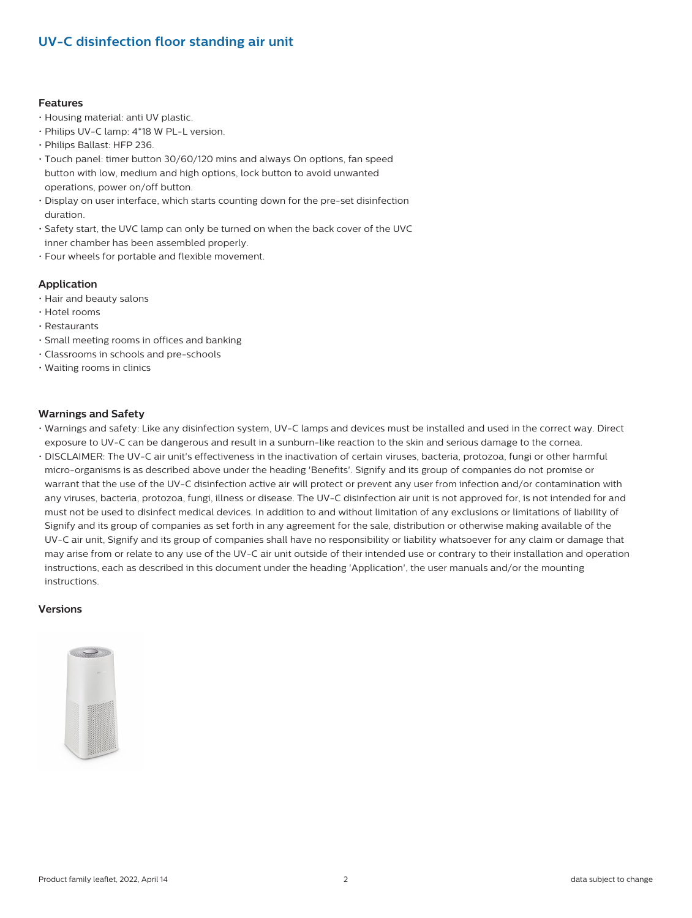#### **UV-C disinfection floor standing air unit**

#### **Features**

- Housing material: anti UV plastic.
- Philips UV-C lamp: 4\*18 W PL-L version.
- Philips Ballast: HFP 236.
- Touch panel: timer button 30/60/120 mins and always On options, fan speed button with low, medium and high options, lock button to avoid unwanted operations, power on/off button.
- Display on user interface, which starts counting down for the pre-set disinfection duration.
- Safety start, the UVC lamp can only be turned on when the back cover of the UVC inner chamber has been assembled properly.
- Four wheels for portable and flexible movement.

#### **Application**

- Hair and beauty salons
- Hotel rooms
- Restaurants
- Small meeting rooms in offices and banking
- Classrooms in schools and pre-schools
- Waiting rooms in clinics

#### **Warnings and Safety**

- Warnings and safety: Like any disinfection system, UV-C lamps and devices must be installed and used in the correct way. Direct exposure to UV-C can be dangerous and result in a sunburn-like reaction to the skin and serious damage to the cornea.
- DISCLAIMER: The UV-C air unit's effectiveness in the inactivation of certain viruses, bacteria, protozoa, fungi or other harmful micro-organisms is as described above under the heading 'Benefits'. Signify and its group of companies do not promise or warrant that the use of the UV-C disinfection active air will protect or prevent any user from infection and/or contamination with any viruses, bacteria, protozoa, fungi, illness or disease. The UV-C disinfection air unit is not approved for, is not intended for and must not be used to disinfect medical devices. In addition to and without limitation of any exclusions or limitations of liability of Signify and its group of companies as set forth in any agreement for the sale, distribution or otherwise making available of the UV-C air unit, Signify and its group of companies shall have no responsibility or liability whatsoever for any claim or damage that may arise from or relate to any use of the UV-C air unit outside of their intended use or contrary to their installation and operation instructions, each as described in this document under the heading 'Application', the user manuals and/or the mounting instructions.

#### **Versions**